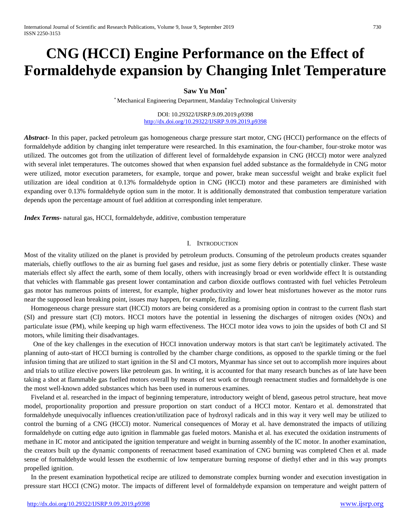# **CNG (HCCI) Engine Performance on the Effect of Formaldehyde expansion by Changing Inlet Temperature**

**Saw Yu Mon\***

\* Mechanical Engineering Department, Mandalay Technological University

DOI: 10.29322/IJSRP.9.09.2019.p9398 <http://dx.doi.org/10.29322/IJSRP.9.09.2019.p9398>

*Abstract***-** In this paper, packed petroleum gas homogeneous charge pressure start motor, CNG (HCCI) performance on the effects of formaldehyde addition by changing inlet temperature were researched. In this examination, the four-chamber, four-stroke motor was utilized. The outcomes got from the utilization of different level of formaldehyde expansion in CNG (HCCI) motor were analyzed with several inlet temperatures. The outcomes showed that when expansion fuel added substance as the formaldehyde in CNG motor were utilized, motor execution parameters, for example, torque and power, brake mean successful weight and brake explicit fuel utilization are ideal condition at 0.13% formaldehyde option in CNG (HCCI) motor and these parameters are diminished with expanding over 0.13% formaldehyde option sum in the motor. It is additionally demonstrated that combustion temperature variation depends upon the percentage amount of fuel addition at corresponding inlet temperature.

*Index Terms***-** natural gas, HCCI, formaldehyde, additive, combustion temperature

### I. INTRODUCTION

Most of the vitality utilized on the planet is provided by petroleum products. Consuming of the petroleum products creates squander materials, chiefly outflows to the air as burning fuel gases and residue, just as some fiery debris or potentially clinker. These waste materials effect sly affect the earth, some of them locally, others with increasingly broad or even worldwide effect It is outstanding that vehicles with flammable gas present lower contamination and carbon dioxide outflows contrasted with fuel vehicles Petroleum gas motor has numerous points of interest, for example, higher productivity and lower heat misfortunes however as the motor runs near the supposed lean breaking point, issues may happen, for example, fizzling.

 Homogeneous charge pressure start (HCCI) motors are being considered as a promising option in contrast to the current flash start (SI) and pressure start (CI) motors. HCCI motors have the potential in lessening the discharges of nitrogen oxides (NOx) and particulate issue (PM), while keeping up high warm effectiveness. The HCCI motor idea vows to join the upsides of both CI and SI motors, while limiting their disadvantages.

One of the key challenges in the execution of HCCI innovation underway motors is that start can't be legitimately activated. The planning of auto-start of HCCI burning is controlled by the chamber charge conditions, as opposed to the sparkle timing or the fuel infusion timing that are utilized to start ignition in the SI and CI motors, Myanmar has since set out to accomplish more inquires about and trials to utilize elective powers like petroleum gas. In writing, it is accounted for that many research bunches as of late have been taking a shot at flammable gas fuelled motors overall by means of test work or through reenactment studies and formaldehyde is one the most well-known added substances which has been used in numerous examines.

Fiveland et al. researched in the impact of beginning temperature, introductory weight of blend, gaseous petrol structure, heat move model, proportionality proportion and pressure proportion on start conduct of a HCCI motor. Kentaro et al. demonstrated that formaldehyde unequivocally influences creation/utilization pace of hydroxyl radicals and in this way it very well may be utilized to control the burning of a CNG (HCCI) motor. Numerical consequences of Moray et al. have demonstrated the impacts of utilizing formaldehyde on cutting edge auto ignition in flammable gas fueled motors. Manisha et al. has executed the oxidation instruments of methane in IC motor and anticipated the ignition temperature and weight in burning assembly of the IC motor. In another examination, the creators built up the dynamic components of reenactment based examination of CNG burning was completed Chen et al. made sense of formaldehyde would lessen the exothermic of low temperature burning response of diethyl ether and in this way prompts propelled ignition.

In the present examination hypothetical recipe are utilized to demonstrate complex burning wonder and execution investigation in pressure start HCCI (CNG) motor. The impacts of different level of formaldehyde expansion on temperature and weight pattern of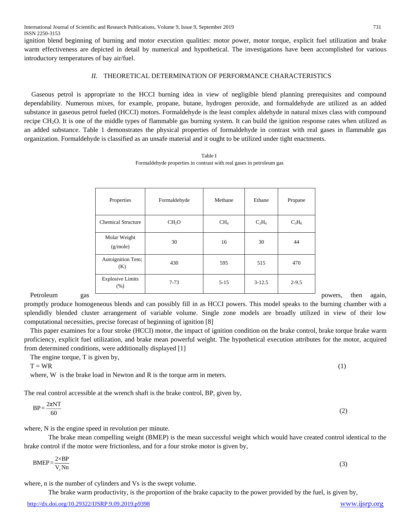ignition blend beginning of burning and motor execution qualities: motor power, motor torque, explicit fuel utilization and brake warm effectiveness are depicted in detail by numerical and hypothetical. The investigations have been accomplished for various introductory temperatures of bay air/fuel.

## *II.* THEORETICAL DETERMINATION OF PERFORMANCE CHARACTERISTICS

Gaseous petrol is appropriate to the HCCI burning idea in view of negligible blend planning prerequisites and compound dependability. Numerous mixes, for example, propane, butane, hydrogen peroxide, and formaldehyde are utilized as an added substance in gaseous petrol fueled (HCCI) motors. Formaldehyde is the least complex aldehyde in natural mixes class with compound recipe CH<sub>2</sub>O. It is one of the middle types of flammable gas burning system. It can build the ignition response rates when utilized as an added substance. Table 1 demonstrates the physical properties of formaldehyde in contrast with real gases in flammable gas organization. Formaldehyde is classified as an unsafe material and it ought to be utilized under tight enactments.

|                  | Properties                      | Formaldehyde      | Methane  | Ethane     | Propane   |         |      |        |
|------------------|---------------------------------|-------------------|----------|------------|-----------|---------|------|--------|
|                  | <b>Chemical Structure</b>       | CH <sub>2</sub> O | $CH_4$   | $C_2H_6$   | $C_3H_8$  |         |      |        |
|                  | Molar Weight<br>(g/mole)        | 30                | 16       | 30         | 44        |         |      |        |
|                  | Autoignition Tem;<br>(K)        | 430               | 595      | 515        | 470       |         |      |        |
|                  | <b>Explosive Limits</b><br>(% ) | $7 - 73$          | $5 - 15$ | $3 - 12.5$ | $2 - 9.5$ |         |      |        |
| Petroleum<br>gas |                                 |                   |          |            |           | powers, | then | again, |

Table I Formaldehyde properties in contrast with real gases in petroleum gas

promptly produce homogeneous blends and can possibly fill in as HCCI powers. This model speaks to the burning chamber with a splendidly blended cluster arrangement of variable volume. Single zone models are broadly utilized in view of their low computational necessities, precise forecast of beginning of ignition [8]

This paper examines for a four stroke (HCCI) motor, the impact of ignition condition on the brake control, brake torque brake warm proficiency, explicit fuel utilization, and brake mean powerful weight. The hypothetical execution attributes for the motor, acquired from determined conditions, were additionally displayed [1]

The engine torque, T is given by,

 $T = WR$  (1)

where, W is the brake load in Newton and R is the torque arm in meters.

The real control accessible at the wrench shaft is the brake control, BP, given by,

$$
BP = \frac{2\pi NT}{60} \tag{2}
$$

where, N is the engine speed in revolution per minute.

The brake mean compelling weight (BMEP) is the mean successful weight which would have created control identical to the brake control if the motor were frictionless, and for a four stroke motor is given by,

$$
BMEP = \frac{2 \times BP}{V_s Nn}
$$
 (3)

where, n is the number of cylinders and Vs is the swept volume.

The brake warm productivity, is the proportion of the brake capacity to the power provided by the fuel, is given by,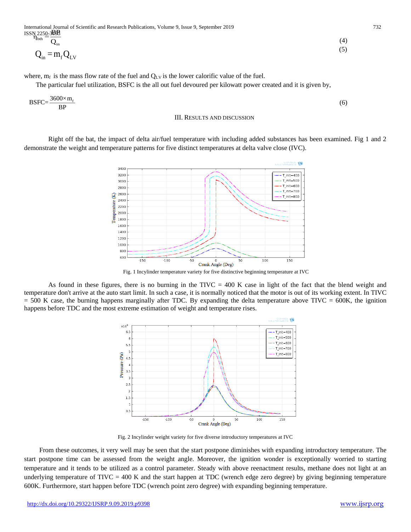International Journal of Scientific and Research Publications, Volume 9, Issue 9, September 2019 732 ISSN 225<u>0</u>-3BB  $\eta_{\rm bth} =$ 

> 800 600

 $-150$ 

 $-100$ 

$$
Q_{\text{in}} = m_{\text{f}} Q_{\text{LV}} \tag{4}
$$
\n
$$
Q_{\text{in}} = m_{\text{f}} Q_{\text{LV}} \tag{5}
$$

where,  $m_f$  is the mass flow rate of the fuel and  $Q_{LV}$  is the lower calorific value of the fuel.

The particular fuel utilization, BSFC is the all out fuel devoured per kilowatt power created and it is given by,

$$
BSFC = \frac{3600 \times m_f}{BP}
$$
 (6)



III. RESULTS AND DISCUSSION

Right off the bat, the impact of delta air/fuel temperature with including added substances has been examined. Fig 1 and 2

Crank Angle (Deg) Fig. 1 Incylinder temperature variety for five distinctive beginning temperature at IVC

100

150

As found in these figures, there is no burning in the TIVC = 400 K case in light of the fact that the blend weight and temperature don't arrive at the auto start limit. In such a case, it is normally noticed that the motor is out of its working extent. In TIVC  $= 500$  K case, the burning happens marginally after TDC. By expanding the delta temperature above TIVC  $= 600$ K, the ignition happens before TDC and the most extreme estimation of weight and temperature rises.

 $-50$ 



Fig. 2 Incylinder weight variety for five diverse introductory temperatures at IVC

From these outcomes, it very well may be seen that the start postpone diminishes with expanding introductory temperature. The start postpone time can be assessed from the weight angle. Moreover, the ignition wonder is exceptionally worried to starting temperature and it tends to be utilized as a control parameter. Steady with above reenactment results, methane does not light at an underlying temperature of  $TIVC = 400$  K and the start happen at TDC (wrench edge zero degree) by giving beginning temperature 600K. Furthermore, start happen before TDC (wrench point zero degree) with expanding beginning temperature.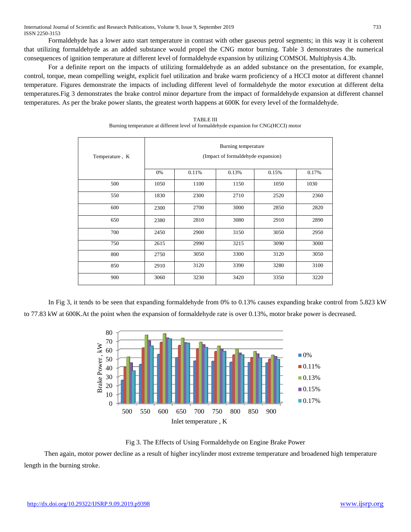Formaldehyde has a lower auto start temperature in contrast with other gaseous petrol segments; in this way it is coherent that utilizing formaldehyde as an added substance would propel the CNG motor burning. Table 3 demonstrates the numerical consequences of ignition temperature at different level of formaldehyde expansion by utilizing COMSOL Multiphysis 4.3b.

For a definite report on the impacts of utilizing formaldehyde as an added substance on the presentation, for example, control, torque, mean compelling weight, explicit fuel utilization and brake warm proficiency of a HCCI motor at different channel temperature. Figures demonstrate the impacts of including different level of formaldehyde the motor execution at different delta temperatures.Fig 3 demonstrates the brake control minor departure from the impact of formaldehyde expansion at different channel temperatures. As per the brake power slants, the greatest worth happens at 600K for every level of the formaldehyde.

| Temperature, K | Burning temperature<br>(Impact of formaldehyde expansion) |       |       |       |       |  |  |  |
|----------------|-----------------------------------------------------------|-------|-------|-------|-------|--|--|--|
|                | 0%                                                        | 0.11% | 0.13% | 0.15% | 0.17% |  |  |  |
| 500            | 1050                                                      | 1100  | 1150  | 1050  | 1030  |  |  |  |
| 550            | 1830                                                      | 2300  | 2710  | 2520  | 2360  |  |  |  |
| 600            | 2300                                                      | 2700  | 3000  | 2850  | 2820  |  |  |  |
| 650            | 2380                                                      | 2810  | 3080  | 2910  | 2890  |  |  |  |
| 700            | 2450                                                      | 2900  | 3150  | 3050  | 2950  |  |  |  |
| 750            | 2615                                                      | 2990  | 3215  | 3090  | 3000  |  |  |  |
| 800            | 2750                                                      | 3050  | 3300  | 3120  | 3050  |  |  |  |
| 850            | 2910                                                      | 3120  | 3390  | 3280  | 3100  |  |  |  |
| 900            | 3060                                                      | 3230  | 3420  | 3350  | 3220  |  |  |  |

| TABLE III                                                                            |
|--------------------------------------------------------------------------------------|
| Burning temperature at different level of formaldehyde expansion for CNG(HCCI) motor |

In Fig 3, it tends to be seen that expanding formaldehyde from 0% to 0.13% causes expanding brake control from 5.823 kW to 77.83 kW at 600K.At the point when the expansion of formaldehyde rate is over 0.13%, motor brake power is decreased.



Fig 3. The Effects of Using Formaldehyde on Engine Brake Power

Then again, motor power decline as a result of higher incylinder most extreme temperature and broadened high temperature length in the burning stroke.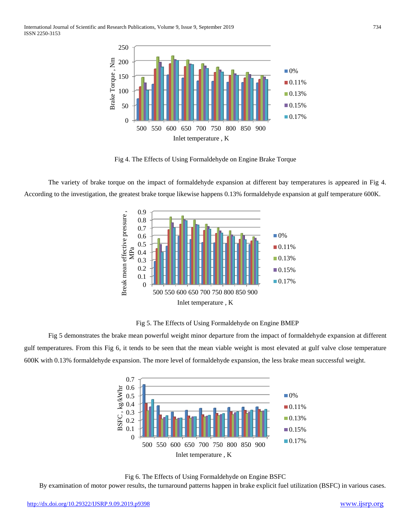International Journal of Scientific and Research Publications, Volume 9, Issue 9, September 2019 734 ISSN 2250-3153



Fig 4. The Effects of Using Formaldehyde on Engine Brake Torque

The variety of brake torque on the impact of formaldehyde expansion at different bay temperatures is appeared in Fig 4. According to the investigation, the greatest brake torque likewise happens 0.13% formaldehyde expansion at gulf temperature 600K.



Fig 5. The Effects of Using Formaldehyde on Engine BMEP

Fig 5 demonstrates the brake mean powerful weight minor departure from the impact of formaldehyde expansion at different gulf temperatures. From this Fig 6, it tends to be seen that the mean viable weight is most elevated at gulf valve close temperature 600K with 0.13% formaldehyde expansion. The more level of formaldehyde expansion, the less brake mean successful weight.





By examination of motor power results, the turnaround patterns happen in brake explicit fuel utilization (BSFC) in various cases.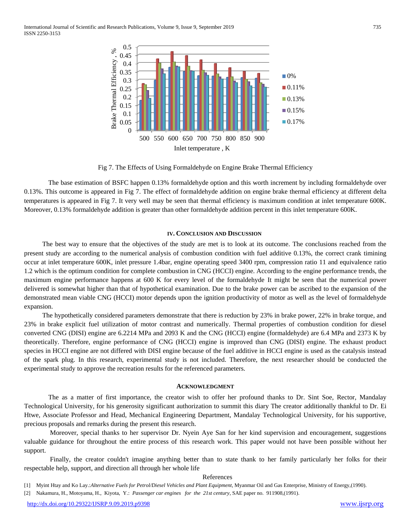International Journal of Scientific and Research Publications, Volume 9, Issue 9, September 2019 735 ISSN 2250-3153



Fig 7. The Effects of Using Formaldehyde on Engine Brake Thermal Efficiency

The base estimation of BSFC happen 0.13% formaldehyde option and this worth increment by including formaldehyde over 0.13%. This outcome is appeared in Fig 7. The effect of formaldehyde addition on engine brake thermal efficiency at different delta temperatures is appeared in Fig 7. It very well may be seen that thermal efficiency is maximum condition at inlet temperature 600K. Moreover, 0.13% formaldehyde addition is greater than other formaldehyde addition percent in this inlet temperature 600K.

#### **IV. CONCLUSION AND DISCUSSION**

The best way to ensure that the objectives of the study are met is to look at its outcome. The conclusions reached from the present study are according to the numerical analysis of combustion condition with fuel additive 0.13%, the correct crank timining occur at inlet temperature 600K, inlet pressure 1.4bar, engine operating speed 3400 rpm, compression ratio 11 and equivalence ratio 1.2 which is the optimum condition for complete combustion in CNG (HCCI) engine. According to the engine performance trends, the maximum engine performance happens at 600 K for every level of the formaldehyde It might be seen that the numerical power delivered is somewhat higher than that of hypothetical examination. Due to the brake power can be ascribed to the expansion of the demonstrated mean viable CNG (HCCI) motor depends upon the ignition productivity of motor as well as the level of formaldehyde expansion.

The hypothetically considered parameters demonstrate that there is reduction by 23% in brake power, 22% in brake torque, and 23% in brake explicit fuel utilization of motor contrast and numerically. Thermal properties of combustion condition for diesel converted CNG (DISI) engine are 6.2214 MPa and 2093 K and the CNG (HCCI) engine (formaldehyde) are 6.4 MPa and 2373 K by theoretically. Therefore, engine performance of CNG (HCCI) engine is improved than CNG (DISI) engine. The exhaust product species in HCCI engine are not differed with DISI engine because of the fuel additive in HCCI engine is used as the catalysis instead of the spark plug. In this research, experimental study is not included. Therefore, the next researcher should be conducted the experimental study to approve the recreation results for the referenced parameters.

#### **ACKNOWLEDGMENT**

The as a matter of first importance, the creator wish to offer her profound thanks to Dr. Sint Soe, Rector, Mandalay Technological University, for his generosity significant authorization to summit this diary The creator additionally thankful to Dr. Ei Htwe, Associate Professor and Head, Mechanical Engineering Department, Mandalay Technological University, for his supportive, precious proposals and remarks during the present this research.

 Moreover, special thanks to her supervisor Dr. Nyein Aye San for her kind supervision and encouragement, suggestions valuable guidance for throughout the entire process of this research work. This paper would not have been possible without her support.

Finally, the creator couldn't imagine anything better than to state thank to her family particularly her folks for their respectable help, support, and direction all through her whole life

#### References

[2] Nakamura, H., Motoyama, H., Kiyota, Y.: *Passenger car engines for the 21st century*, SAE paper no. 911908,(1991).

<sup>[1]</sup> Myint Htay and Ko Lay.:*Alternative Fuels for Petrol/Diesel Vehicles and Plant Equipment*, Myanmar Oil and Gas Enterprise, Ministry of Energy,(1990).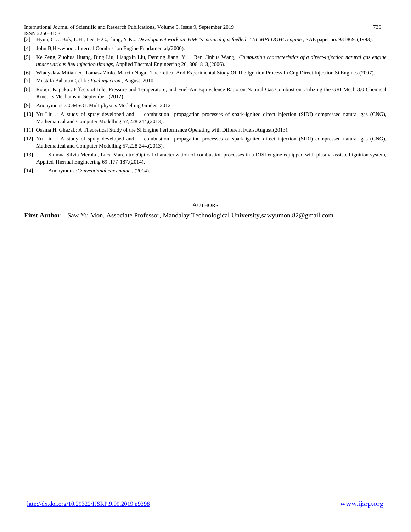International Journal of Scientific and Research Publications, Volume 9, Issue 9, September 2019 736 ISSN 2250-3153

- [3] Hyun, C.c., Bok, L.H., Lee, H.C., lung, Y.K..: *Development work on HMC's natural gas fuelled 1.5L MPI DOHC engine* , SAE paper no. 931869, (1993).
- [4] John B,Heywood.: Internal Combustion Engine Fundamental,(2000).
- [5] Ke Zeng, Zuohua Huang, Bing Liu, Liangxin Liu, Deming Jiang, Yi Ren, Jinhua Wang, *Combustion characteristics of a direct-injection natural gas engine under various fuel injection timings,* Applied Thermal Engineering 26, 806–813,(2006).
- [6] Wladyslaw Mitianiec, Tomasz Ziolo, Marcin Noga.: Theoretical And Experimental Study Of The Ignition Process In Cng Direct Injection Si Engines.(2007).
- [7] Mustafa Bahattin Çelik.: *Fuel injection* , August ,2010.
- [8] Robert Kapaku.: Effects of Inlet Pressure and Temperature, and Fuel-Air Equivalence Ratio on Natural Gas Combustion Utilizing the GRI Mech 3.0 Chemical Kinetics Mechanism, September ,(2012).
- [9] Anonymous.:COMSOL Multiphysics Modelling Guides ,2012
- [10] Yu Liu .: A study of spray developed and combustion propagation processes of spark-ignited direct injection (SIDI) compressed natural gas (CNG), Mathematical and Computer Modelling 57,228 244,(2013).
- [11] Osama H. Ghazal.: A Theoretical Study of the SI Engine Performance Operating with Different Fuels,August,(2013).
- [12] Yu Liu .: A study of spray developed and combustion propagation processes of spark-ignited direct injection (SIDI) compressed natural gas (CNG), Mathematical and Computer Modelling 57,228 244,(2013).
- [13] Simona Silvia Merola , Luca Marchitto.:Optical characterization of combustion processes in a DISI engine equipped with plasma-assisted ignition system, Applied Thermal Engineering 69 ,177-187,(2014).
- [14] Anonymous.:*Conventional car engine* , (2014).

#### **AUTHORS**

**First Author** – Saw Yu Mon, Associate Professor, Mandalay Technological University,sawyumon.82@gmail.com